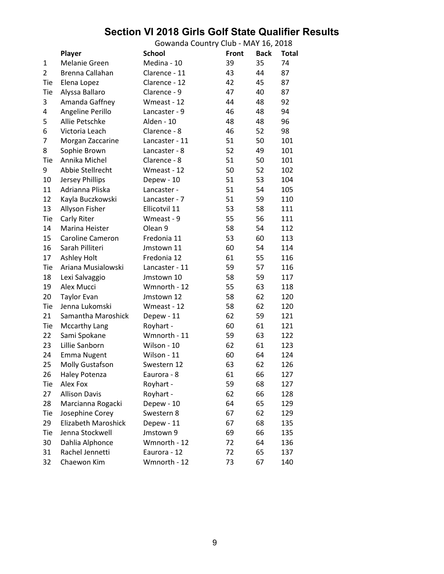## **Section VI 2018 Girls Golf State Qualifier Results**

Gowanda Country Club - MAY 16, 2018 **Player School Front Back Total** 1 Melanie Green Medina - 10 39 35 74 2 Brenna Callahan Clarence - 11 43 44 87 Tie Elena Lopez Clarence - 12 42 45 87 Tie Alyssa Ballaro **Clarence - 9** 47 40 87 3 Amanda Gaffney Wmeast - 12 44 48 92 4 Angeline Perillo Lancaster - 9 46 48 94 5 Allie Petschke Alden - 10 48 48 96 6 Victoria Leach Clarence - 8 46 52 98 7 Morgan Zaccarine Lancaster - 11 51 50 101 8 Sophie Brown Lancaster - 8 52 49 101 Tie Annika Michel Clarence - 8 51 50 101 9 Abbie Stellrecht Wmeast - 12 50 52 102 10 Jersey Phillips Depew - 10 51 53 104 11 Adrianna Pliska Lancaster - 51 54 105 12 Kayla Buczkowski Lancaster - 7 51 59 110 13 Allyson Fisher Ellicotvil 11 53 58 111 Tie Carly Riter **Wmeast - 9** 55 56 111 14 Marina Heister Olean 9 58 54 112 15 Caroline Cameron Fredonia 11 53 60 113 16 Sarah Pilliteri Jmstown 11 60 54 114 17 Ashley Holt Fredonia 12 61 55 116 Tie Ariana Musialowski Lancaster - 11 59 57 116 18 Lexi Salvaggio Jmstown 10 58 59 117 19 Alex Mucci Wmnorth - 12 55 63 118 20 Taylor Evan Jmstown 12 58 62 120 Tie Jenna Lukomski Mmeast - 12 58 62 120 21 Samantha Maroshick Depew - 11 62 59 121 Tie Mccarthy Lang Royhart - 60 61 121 22 Sami Spokane Wmnorth - 11 59 63 122 23 Lillie Sanborn Wilson - 10 62 61 123 24 Emma Nugent Wilson - 11 60 64 124 25 Molly Gustafson Swestern 12 63 62 126 26 Haley Potenza **Eaurora - 8** 61 66 127 Tie Alex Fox **Royhart** - 59 68 127 27 Allison Davis Royhart - 62 66 128 28 Marcianna Rogacki Depew - 10 64 65 129 Tie Josephine Corey Swestern 8 67 62 129 29 Elizabeth Maroshick Depew - 11 67 68 135 Tie Jenna Stockwell Jmstown 9 69 66 135 30 Dahlia Alphonce Wmnorth - 12 72 64 136 31 Rachel Jennetti Eaurora - 12 72 65 137 32 Chaewon Kim Wmnorth - 12 73 67 140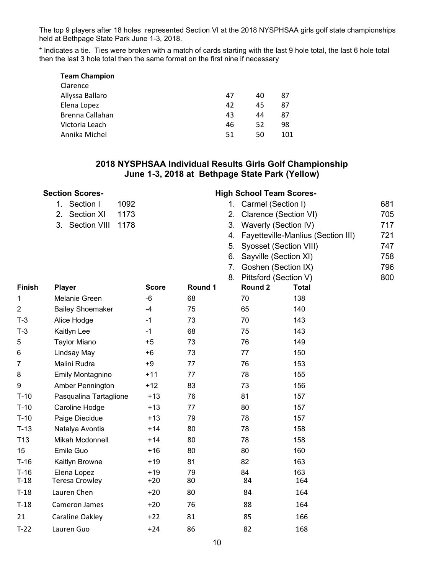The top 9 players after 18 holes represented Section VI at the 2018 NYSPHSAA girls golf state championships held at Bethpage State Park June 1-3, 2018.

\* Indicates a tie. Ties were broken with a match of cards starting with the last 9 hole total, the last 6 hole total then the last 3 hole total then the same format on the first nine if necessary

| <b>Team Champion</b> |    |    |     |
|----------------------|----|----|-----|
| Clarence             |    |    |     |
| Allyssa Ballaro      | 47 | 40 | 87  |
| Elena Lopez          | 42 | 45 | 87  |
| Brenna Callahan      | 43 | 44 | 87  |
| Victoria Leach       | 46 | 52 | 98  |
| Annika Michel        | 51 | 50 | 101 |

## **2018 NYSPHSAA Individual Results Girls Golf Championship June 1-3, 2018 at Bethpage State Park (Yellow)**

|               | <b>Section Scores-</b>           | <b>High School Team Scores-</b> |         |    |                        |                                    |     |
|---------------|----------------------------------|---------------------------------|---------|----|------------------------|------------------------------------|-----|
|               | Section I<br>1092<br>$1_{\cdot}$ |                                 |         |    | 1. Carmel (Section I)  |                                    | 681 |
|               | 2.<br>Section XI<br>1173         |                                 |         | 2. | Clarence (Section VI)  |                                    | 705 |
|               | Section VIII<br>3.<br>1178       |                                 |         | 3. | Waverly (Section IV)   |                                    | 717 |
|               |                                  |                                 |         | 4. |                        | Fayetteville-Manlius (Section III) | 721 |
|               |                                  |                                 |         | 5. | Syosset (Section VIII) |                                    | 747 |
|               |                                  |                                 |         | 6. | Sayville (Section XI)  |                                    | 758 |
|               |                                  |                                 |         | 7. | Goshen (Section IX)    |                                    | 796 |
|               |                                  |                                 |         | 8. | Pittsford (Section V)  |                                    | 800 |
| <b>Finish</b> | <b>Player</b>                    | <b>Score</b>                    | Round 1 |    | Round 2                | <b>Total</b>                       |     |
| 1             | <b>Melanie Green</b>             | $-6$                            | 68      |    | 70                     | 138                                |     |
| 2             | <b>Bailey Shoemaker</b>          | $-4$                            | 75      |    | 65                     | 140                                |     |
| $T-3$         | Alice Hodge                      | $-1$                            | 73      |    | 70                     | 143                                |     |
| $T-3$         | Kaitlyn Lee                      | $-1$                            | 68      |    | 75                     | 143                                |     |
| 5             | <b>Taylor Miano</b>              | $+5$                            | 73      |    | 76                     | 149                                |     |
| 6             | Lindsay May                      | $+6$                            | 73      |    | 77                     | 150                                |     |
| 7             | Malini Rudra                     | $+9$                            | 77      |    | 76                     | 153                                |     |
| 8             | Emily Montagnino                 | $+11$                           | 77      |    | 78                     | 155                                |     |
| 9             | Amber Pennington                 | $+12$                           | 83      |    | 73                     | 156                                |     |
| $T-10$        | Pasqualina Tartaglione           | $+13$                           | 76      |    | 81                     | 157                                |     |
| $T-10$        | Caroline Hodge                   | $+13$                           | 77      |    | 80                     | 157                                |     |
| $T-10$        | Paige Diecidue                   | $+13$                           | 79      |    | 78                     | 157                                |     |
| $T-13$        | Natalya Avontis                  | $+14$                           | 80      |    | 78                     | 158                                |     |
| T13           | Mikah Mcdonnell                  | $+14$                           | 80      |    | 78                     | 158                                |     |
| 15            | Emile Guo                        | $+16$                           | 80      |    | 80                     | 160                                |     |
| $T-16$        | Kaitlyn Browne                   | $+19$                           | 81      |    | 82                     | 163                                |     |
| $T-16$        | Elena Lopez                      | $+19$                           | 79      |    | 84                     | 163                                |     |
| $T-18$        | <b>Teresa Crowley</b>            | $+20$                           | 80      |    | 84                     | 164                                |     |
| $T-18$        | Lauren Chen                      | $+20$                           | 80      |    | 84                     | 164                                |     |
| $T-18$        | Cameron James                    | $+20$                           | 76      |    | 88                     | 164                                |     |
| 21            | Caraline Oakley                  | $+22$                           | 81      |    | 85                     | 166                                |     |
| $T-22$        | Lauren Guo                       | $+24$                           | 86      |    | 82                     | 168                                |     |
|               |                                  |                                 |         |    |                        |                                    |     |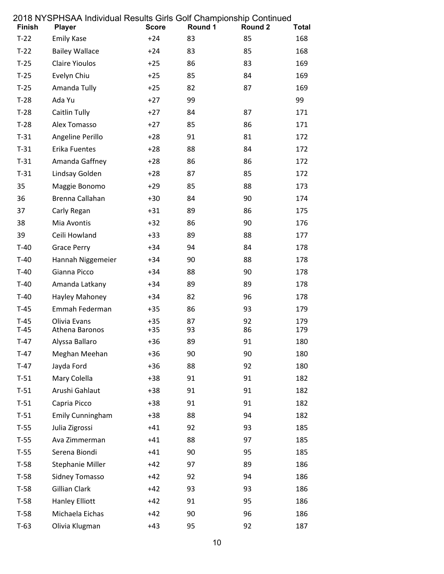| Finish           | בט וט וזי טוויטראנוווען אוויס פוווט פון און דאמעראנאנדר וט וויט ט<br><b>Player</b> | <b>Score</b>   | Round 1  | Round 2  | <b>Total</b> |
|------------------|------------------------------------------------------------------------------------|----------------|----------|----------|--------------|
| $T-22$           | <b>Emily Kase</b>                                                                  | $+24$          | 83       | 85       | 168          |
| $T-22$           | <b>Bailey Wallace</b>                                                              | +24            | 83       | 85       | 168          |
| $T-25$           | Claire Yioulos                                                                     | $+25$          | 86       | 83       | 169          |
| $T-25$           | Evelyn Chiu                                                                        | $+25$          | 85       | 84       | 169          |
| $T-25$           | Amanda Tully                                                                       | $+25$          | 82       | 87       | 169          |
| $T-28$           | Ada Yu                                                                             | $+27$          | 99       |          | 99           |
| $T-28$           | <b>Caitlin Tully</b>                                                               | $+27$          | 84       | 87       | 171          |
| $T-28$           | Alex Tomasso                                                                       | $+27$          | 85       | 86       | 171          |
| $T-31$           | Angeline Perillo                                                                   | $+28$          | 91       | 81       | 172          |
| $T-31$           | Erika Fuentes                                                                      | $+28$          | 88       | 84       | 172          |
| $T-31$           | Amanda Gaffney                                                                     | $+28$          | 86       | 86       | 172          |
| $T-31$           | Lindsay Golden                                                                     | $+28$          | 87       | 85       | 172          |
| 35               | Maggie Bonomo                                                                      | $+29$          | 85       | 88       | 173          |
| 36               | Brenna Callahan                                                                    | $+30$          | 84       | 90       | 174          |
| 37               | Carly Regan                                                                        | $+31$          | 89       | 86       | 175          |
| 38               | Mia Avontis                                                                        | $+32$          | 86       | 90       | 176          |
| 39               | Ceili Howland                                                                      | $+33$          | 89       | 88       | 177          |
| $T-40$           | <b>Grace Perry</b>                                                                 | $+34$          | 94       | 84       | 178          |
| $T-40$           | Hannah Niggemeier                                                                  | $+34$          | 90       | 88       | 178          |
| $T-40$           | Gianna Picco                                                                       | $+34$          | 88       | 90       | 178          |
| $T-40$           | Amanda Latkany                                                                     | $+34$          | 89       | 89       | 178          |
| $T-40$           | Hayley Mahoney                                                                     | $+34$          | 82       | 96       | 178          |
| $T-45$           | Emmah Federman                                                                     | $+35$          | 86       | 93       | 179          |
| $T-45$           | Olivia Evans                                                                       | $+35$          | 87       | 92       | 179          |
| $T-45$           | Athena Baronos                                                                     | $+35$          | 93       | 86       | 179          |
| $T-47$<br>$T-47$ | Alyssa Ballaro                                                                     | $+36$          | 89       | 91       | 180          |
| $T-47$           | Meghan Meehan<br>Jayda Ford                                                        | $+36$          | 90<br>88 | 90<br>92 | 180<br>180   |
| $T-51$           | Mary Colella                                                                       | $+36$<br>$+38$ | 91       | 91       | 182          |
| $T-51$           | Arushi Gahlaut                                                                     | $+38$          | 91       | 91       | 182          |
| $T-51$           | Capria Picco                                                                       | $+38$          | 91       | 91       | 182          |
| $T-51$           | <b>Emily Cunningham</b>                                                            | $+38$          | 88       | 94       | 182          |
| $T-55$           | Julia Zigrossi                                                                     | $+41$          | 92       | 93       | 185          |
| $T-55$           | Ava Zimmerman                                                                      | $+41$          | 88       | 97       | 185          |
| $T-55$           | Serena Biondi                                                                      | $+41$          | 90       | 95       | 185          |
| $T-58$           | Stephanie Miller                                                                   | $+42$          | 97       | 89       | 186          |
| $T-58$           | Sidney Tomasso                                                                     | $+42$          | 92       | 94       | 186          |
| $T-58$           | <b>Gillian Clark</b>                                                               | $+42$          | 93       | 93       | 186          |
| $T-58$           | Hanley Elliott                                                                     | $+42$          | 91       | 95       | 186          |
| $T-58$           | Michaela Eichas                                                                    | $+42$          | 90       | 96       | 186          |
| $T-63$           | Olivia Klugman                                                                     | $+43$          | 95       | 92       | 187          |
|                  |                                                                                    |                |          |          |              |

## 2018 NYSPHSAA Individual Results Girls Golf Championship Continued